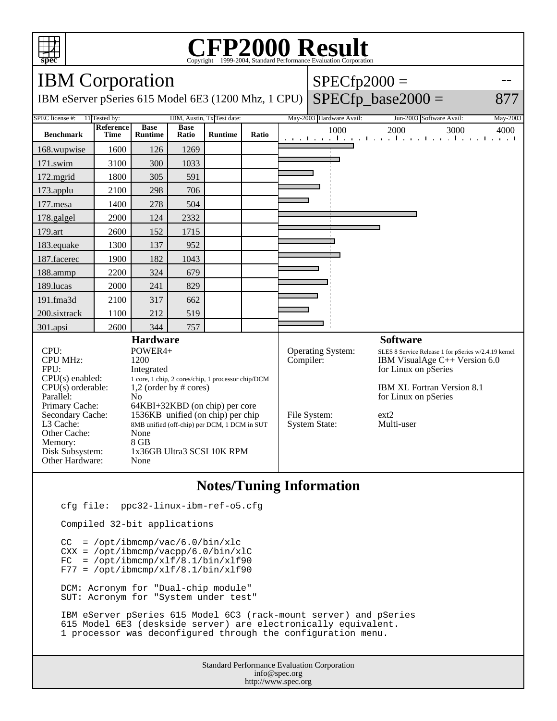

## Copyright ©1999-2004, Standard Performance Evaluation Corporation

| <b>IBM</b> Corporation                                                         |                                              |                               |                      |                |                          |                                                      | $SPECfp2000 =$                |                                                                                 |      |
|--------------------------------------------------------------------------------|----------------------------------------------|-------------------------------|----------------------|----------------|--------------------------|------------------------------------------------------|-------------------------------|---------------------------------------------------------------------------------|------|
| IBM eServer pSeries 615 Model 6E3 (1200 Mhz, 1 CPU)                            |                                              |                               |                      |                |                          |                                                      |                               | $SPECfp\_base2000 =$                                                            | 877  |
| SPEC license #:<br>11 Tested by:<br>IBM, Austin, Tx Test date:                 |                                              |                               |                      |                |                          | May-2003 Hardware Avail:                             | Jun-2003 Software Avail:      | May-2003                                                                        |      |
| <b>Benchmark</b>                                                               | Reference<br>Time                            | <b>Base</b><br><b>Runtime</b> | <b>Base</b><br>Ratio | <b>Runtime</b> | Ratio                    |                                                      | 1000                          | 2000<br>3000<br>and the model of a final contract the model of a final contract | 4000 |
| 168.wupwise                                                                    | 1600                                         | 126                           | 1269                 |                |                          |                                                      |                               |                                                                                 |      |
| 171.swim                                                                       | 3100                                         | 300                           | 1033                 |                |                          |                                                      |                               |                                                                                 |      |
| 172.mgrid                                                                      | 1800                                         | 305                           | 591                  |                |                          |                                                      |                               |                                                                                 |      |
| 173.applu                                                                      | 2100                                         | 298                           | 706                  |                |                          |                                                      |                               |                                                                                 |      |
| 177.mesa                                                                       | 1400                                         | 278                           | 504                  |                |                          |                                                      |                               |                                                                                 |      |
| 178.galgel                                                                     | 2900                                         | 124                           | 2332                 |                |                          |                                                      |                               |                                                                                 |      |
| 179.art                                                                        | 2600                                         | 152                           | 1715                 |                |                          |                                                      |                               |                                                                                 |      |
| 183.equake                                                                     | 1300                                         | 137                           | 952                  |                |                          |                                                      |                               |                                                                                 |      |
| 187.facerec                                                                    | 1900                                         | 182                           | 1043                 |                |                          |                                                      |                               |                                                                                 |      |
| 188.ammp                                                                       | 2200                                         | 324                           | 679                  |                |                          |                                                      |                               |                                                                                 |      |
| 189.lucas                                                                      | 2000                                         | 241                           | 829                  |                |                          |                                                      |                               |                                                                                 |      |
| 191.fma3d                                                                      | 2100                                         | 317                           | 662                  |                |                          |                                                      |                               |                                                                                 |      |
| 200.sixtrack                                                                   | 1100                                         | 212                           | 519                  |                |                          |                                                      |                               |                                                                                 |      |
| 301.apsi                                                                       | 2600                                         | 344                           | 757                  |                |                          |                                                      |                               |                                                                                 |      |
| <b>Hardware</b>                                                                |                                              |                               |                      |                |                          |                                                      |                               | <b>Software</b>                                                                 |      |
| CPU:                                                                           | POWER4+                                      |                               |                      |                | <b>Operating System:</b> | SLES 8 Service Release 1 for pSeries w/2.4.19 kernel |                               |                                                                                 |      |
| <b>CPU MHz:</b>                                                                | 1200                                         |                               |                      |                | Compiler:                |                                                      | IBM VisualAge C++ Version 6.0 |                                                                                 |      |
| FPU:<br>Integrated                                                             |                                              |                               |                      |                |                          |                                                      | for Linux on pSeries          |                                                                                 |      |
| CPU(s) enabled:<br>1 core, 1 chip, 2 cores/chip, 1 processor chip/DCM          |                                              |                               |                      |                |                          |                                                      |                               |                                                                                 |      |
| $CPU(s)$ orderable:<br>$1,2$ (order by # cores)<br>Parallel:<br>N <sub>o</sub> |                                              |                               |                      |                |                          | IBM XL Fortran Version 8.1<br>for Linux on pSeries   |                               |                                                                                 |      |
| 64KBI+32KBD (on chip) per core<br>Primary Cache:                               |                                              |                               |                      |                |                          |                                                      |                               |                                                                                 |      |
| Secondary Cache:                                                               | 1536KB unified (on chip) per chip            |                               |                      |                |                          | File System:                                         | ext2                          |                                                                                 |      |
| L3 Cache:                                                                      | 8MB unified (off-chip) per DCM, 1 DCM in SUT |                               |                      |                |                          | <b>System State:</b>                                 | Multi-user                    |                                                                                 |      |
| Other Cache:                                                                   | None                                         |                               |                      |                |                          |                                                      |                               |                                                                                 |      |
| Memory:                                                                        | 8 GB                                         |                               |                      |                |                          |                                                      |                               |                                                                                 |      |
| Disk Subsystem:                                                                | 1x36GB Ultra3 SCSI 10K RPM                   |                               |                      |                |                          |                                                      |                               |                                                                                 |      |
| Other Hardware:<br>None                                                        |                                              |                               |                      |                |                          |                                                      |                               |                                                                                 |      |

## **Notes/Tuning Information**

cfg file: ppc32-linux-ibm-ref-o5.cfg

Compiled 32-bit applications

 $CC = /opt/ibmcmp/vac/6.0/bin/xlc$  CXX = /opt/ibmcmp/vacpp/6.0/bin/xlC  $FC = /opt/ibmcmp/xlf/8.1/bin/xlf90$  $F77 = /opt/ibmcmp/xlf/8.1/bin/xlf90$  DCM: Acronym for "Dual-chip module" SUT: Acronym for "System under test"

 IBM eServer pSeries 615 Model 6C3 (rack-mount server) and pSeries 615 Model 6E3 (deskside server) are electronically equivalent. 1 processor was deconfigured through the configuration menu.

> Standard Performance Evaluation Corporation info@spec.org http://www.spec.org